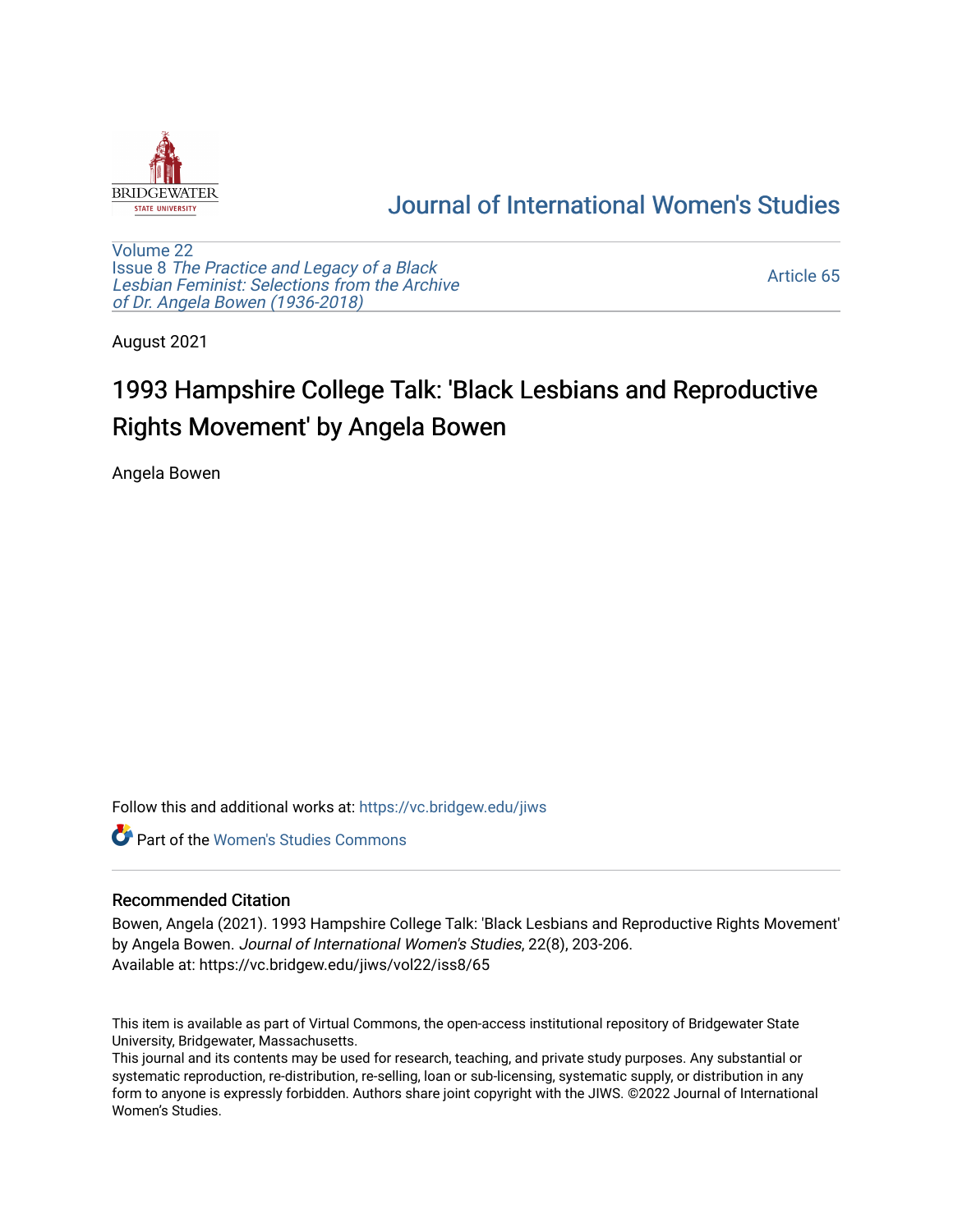

## [Journal of International Women's Studies](https://vc.bridgew.edu/jiws)

[Volume 22](https://vc.bridgew.edu/jiws/vol22) Issue 8 [The Practice and Legacy of a Black](https://vc.bridgew.edu/jiws/vol22/iss8)  [Lesbian Feminist: Selections from the Archive](https://vc.bridgew.edu/jiws/vol22/iss8)  [of Dr. Angela Bowen \(1936-2018\)](https://vc.bridgew.edu/jiws/vol22/iss8)

[Article 65](https://vc.bridgew.edu/jiws/vol22/iss8/65) 

August 2021

## 1993 Hampshire College Talk: 'Black Lesbians and Reproductive Rights Movement' by Angela Bowen

Angela Bowen

Follow this and additional works at: [https://vc.bridgew.edu/jiws](https://vc.bridgew.edu/jiws?utm_source=vc.bridgew.edu%2Fjiws%2Fvol22%2Fiss8%2F65&utm_medium=PDF&utm_campaign=PDFCoverPages)

**C** Part of the Women's Studies Commons

## Recommended Citation

Bowen, Angela (2021). 1993 Hampshire College Talk: 'Black Lesbians and Reproductive Rights Movement' by Angela Bowen. Journal of International Women's Studies, 22(8), 203-206. Available at: https://vc.bridgew.edu/jiws/vol22/iss8/65

This item is available as part of Virtual Commons, the open-access institutional repository of Bridgewater State University, Bridgewater, Massachusetts.

This journal and its contents may be used for research, teaching, and private study purposes. Any substantial or systematic reproduction, re-distribution, re-selling, loan or sub-licensing, systematic supply, or distribution in any form to anyone is expressly forbidden. Authors share joint copyright with the JIWS. ©2022 Journal of International Women's Studies.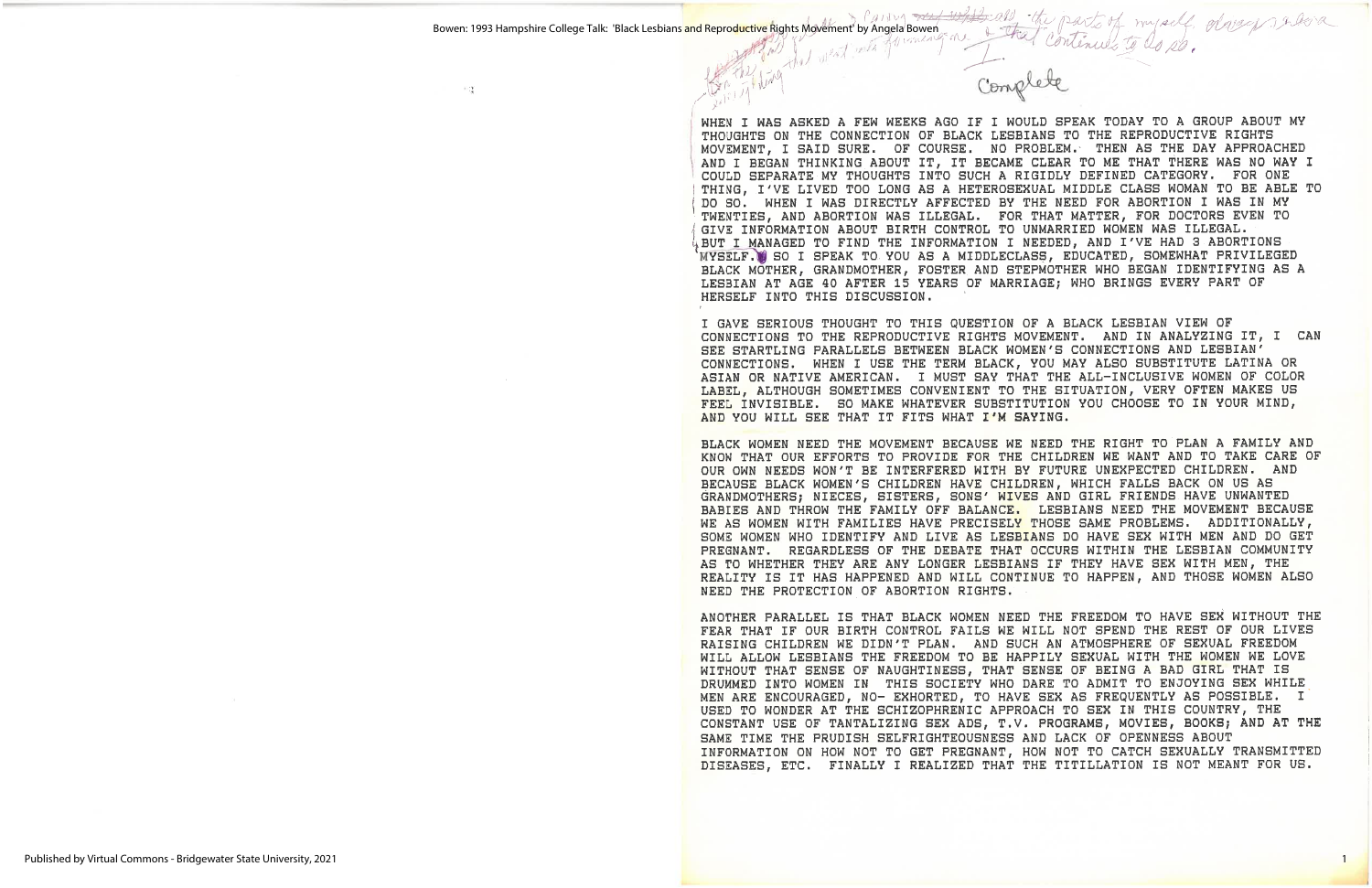ΞÇ,

WHEN I WAS ASKED A FEW WEEKS AGO IF I WOULD SPEAK TODAY TO A GROUP ABOUT MY THOUGHTS ON THE CONNECTION OF BLACK LESBIANS TO THE REPRODUCTIVE RIGHTS MOVEMENT, I SAID SURE. OF COURSE. NO PROBLEM. THEN AS THE DAY APPROACHED AND I BEGAN THINKING ABOUT IT, IT BECAME CLEAR TO ME THAT THERE WAS NO WAY I COULD SEPARATE MY THOUGHTS INTO SUCH A RIGIDLY DEFINED CATEGORY. FOR ONE THING, I'VE LIVED TOO LONG AS A HETEROSEXUAL MIDDLE CLASS WOMAN TO BE ABLE TO DO SO. WHEN I WAS DIRECTLY AFFECTED BY THE NEED FOR ABORTION I WAS IN MY TWENTIES, AND ABORTION WAS ILLEGAL. FOR THAT MATTER, FOR DOCTORS EVEN TO GIVE INFORMATION ABOUT BIRTH CONTROL TO UNMARRIED WOMEN WAS ILLEGAL. BUT I MANAGED TO FIND THE INFORMATION I NEEDED, AND I'VE HAD 3 ABORTIONS MYSELF. SO I SPEAK TO YOU AS A MIDDLECLASS, EDUCATED, SOMEWHAT PRIVILEGED BLACK MOTHER, GRANDMOTHER, FOSTER AND STEPMOTHER WHO BEGAN IDENTIFYING AS A LESBIAN AT AGE 40 AFTER 15 YEARS OF MARRIAGE; WHO BRINGS EVERY PART OF HERSELF INTO THIS DISCUSSION.

I GAVE SERIOUS THOUGHT TO THIS QUESTION OF A BLACK LESBIAN VIEW OF CONNECTIONS TO THE REPRODUCTIVE RIGHTS MOVEMENT. AND IN ANALYZING IT, I CAN SEE STARTLING PARALLELS BETWEEN BLACK WOMEN'S CONNECTIONS AND LESBIAN' CONNECTIONS. WHEN I USE THE TERM BLACK, YOU MAY ALSO SUBSTITUTE LATINA OR ASIAN OR NATIVE AMERICAN. I MUST SAY THAT THE ALL-INCLUSIVE WOMEN OF COLOR LABEL, ALTHOUGH SOMETIMES CONVENIENT TO THE SITUATION, VERY OFTEN MAKES US FEEL INVISIBLE. SO MAKE WHATEVER SUBSTITUTION YOU CHOOSE TO IN YOUR MIND, AND YOU WILL SEE THAT IT FITS WHAT I'M SAYING.

BLACK WOMEN NEED THE MOVEMENT BECAUSE WE NEED THE RIGHT TO PLAN A FAMILY AND KNOW THAT OUR EFFORTS TO PROVIDE FOR THE CHILDREN WE WANT AND TO TAKE CARE OF OUR OWN NEEDS WON'T BE INTERFERED WITH BY FUTURE UNEXPECTED CHILDREN. AND BECAUSE BLACK WOMEN'S CHILDREN HAVE CHILDREN, WHICH FALLS BACK ON US AS GRANDMOTHERS; NIECES, SISTERS, SONS' WIVES AND GIRL FRIENDS HAVE UNWANTED BABIES AND THROW THE FAMILY OFF BALANCE. LESBIANS NEED THE MOVEMENT BECAUSE WE AS WOMEN WITH FAMILIES HAVE PRECISELY THOSE SAME PROBLEMS. ADDITIONALLY, SOME WOMEN WHO IDENTIFY AND LIVE AS LESBIANS DO HAVE SEX WITH MEN AND DO GET PREGNANT. REGARDLESS OF THE DEBATE THAT OCCURS WITHIN THE LESBIAN COMMUNITY AS TO WHETHER THEY ARE ANY LONGER LESBIANS IF THEY HAVE SEX WITH MEN, THE REALITY IS IT HAS HAPPENED AND WILL CONTINUE TO HAPPEN, AND THOSE WOMEN ALSO NEED THE PROTECTION OF ABORTION RIGHTS.

ANOTHER PARALLEL IS THAT BLACK WOMEN NEED THE FREEDOM TO HAVE SEX WITHOUT THE FEAR THAT IF OUR BIRTH CONTROL FAILS WE WILL NOT SPEND THE REST OF OUR LIVES RAISING CHILDREN WE DIDN'T PLAN. AND SUCH AN ATMOSPHERE OF SEXUAL FREEDOM WILL ALLOW LESBIANS THE FREEDOM TO BE HAPPILY SEXUAL WITH THE WOMEN WE LOVE WITHOUT THAT SENSE OF NAUGHTINESS, THAT SENSE OF BEING A BAD GIRL THAT IS DRUMMED INTO WOMEN IN THIS SOCIETY WHO DARE TO ADMIT TO ENJOYING SEX WHILE MEN ARE ENCOURAGED, NO- EXHORTED, TO HAVE SEX AS FREQUENTLY AS POSSIBLE. I USED TO WONDER AT THE SCHIZOPHRENIC APPROACH TO SEX IN THIS COUNTRY, THE CONSTANT USE OF TANTALIZING SEX ADS, T.V. PROGRAMS, MOVIES, BOOKS; AND AT THE SAME TIME THE PRUDISH SELFRIGHTEOUSNESS AND LACK OF OPENNESS ABOUT INFORMATION ON HOW NOT TO GET PREGNANT, HOW NOT TO CATCH SEXUALLY TRANSMITTED DISEASES, ETC. FINALLY I REALIZED THAT THE TITILLATION IS NOT MEANT FOR US.

Power as the part of myself disagraphera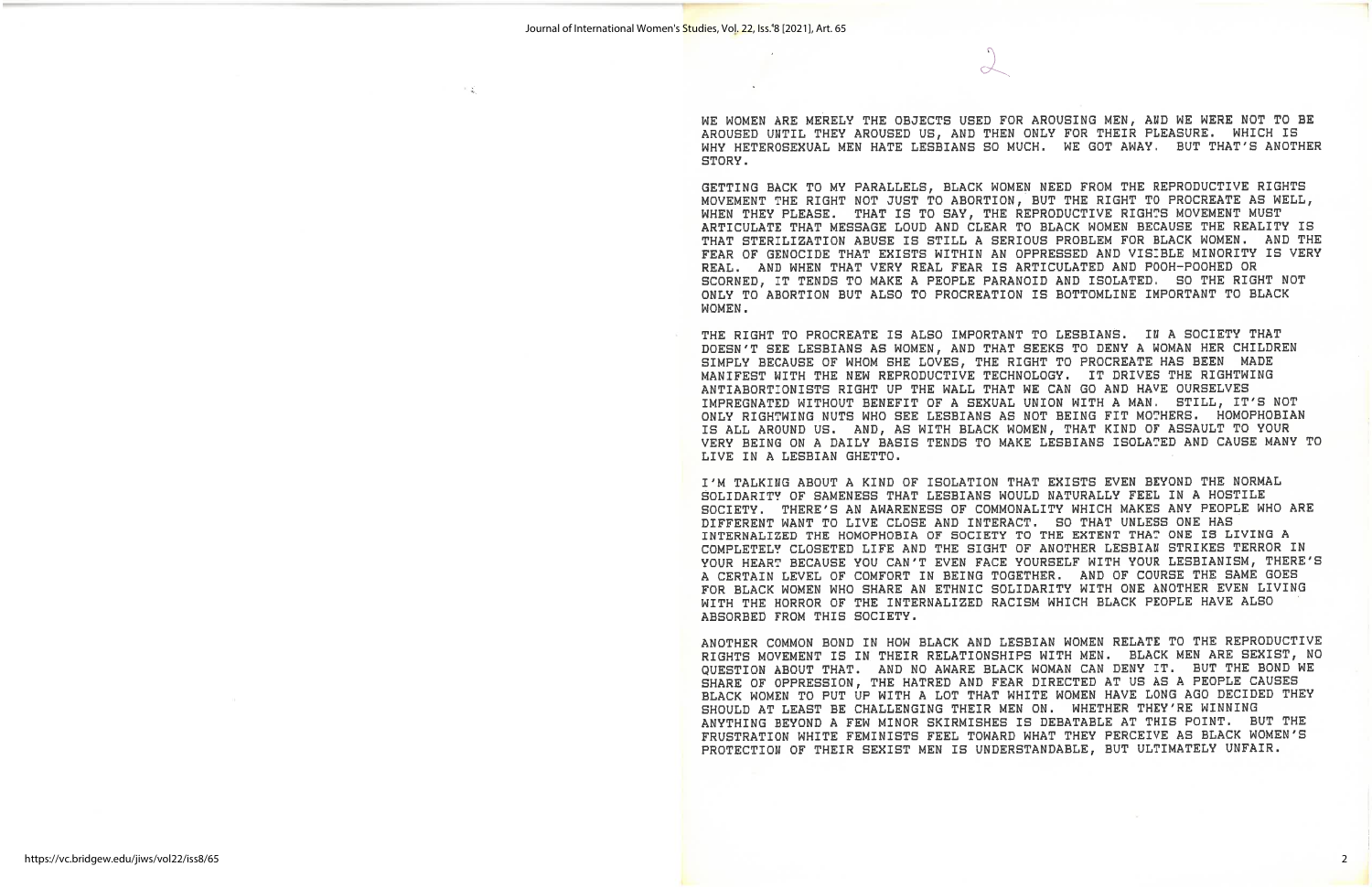ΠQ

WE WOMEN ARE MERELY THE OBJECTS USED FOR AROUSING MEN, AND WE WERE NOT TO BE AROUSED UNTIL THEY AROUSED US, AND THEN ONLY FOR THEIR PLEASURE. WHICH IS WHY HETEROSEXUAL MEN HATE LESBIANS SO MUCH. WE GOT AWAY. BUT THAT'S ANOTHER STORY.

GETTING BACK TO MY PARALLELS, BLACK WOMEN NEED FROM THE REPRODUCTIVE RIGHTS MOVEMENT THE RIGHT NOT JUST TO ABORTION, BUT THE RIGHT TO PROCREATE AS WELL, WHEN THEY PLEASE. THAT IS TO SAY, THE REPRODUCTIVE RIGHTS MOVEMENT MUST ARTICULATE THAT MESSAGE LOUD AND CLEAR TO BLACK WOMEN BECAUSE THE REALITY IS THAT STERILIZATION ABUSE IS STILL A SERIOUS PROBLEM FOR BLACK WOMEN. AND THE FEAR OF GENOCIDE THAT EXISTS WITHIN AN OPPRESSED AND VISIBLE MINORITY IS VERY REAL. AND WHEN THAT VERY REAL FEAR IS ARTICULATED AND POOH-POOHED OR SCORNED, IT TENDS TO MAKE A PEOPLE PARANOID AND ISOLATED. SO THE RIGHT NOT ONLY TO ABORTION BUT ALSO TO PROCREATION IS BOTTOMLINE IMPORTANT TO BLACK WOMEN.

THE RIGHT TO PROCREATE IS ALSO IMPORTANT TO LESBIANS. IN A SOCIETY THAT DOESN'T SEE LESBIANS AS WOMEN, AND THAT SEEKS TO DENY A WOMAN HER CHILDREN SIMPLY BECAUSE OF WHOM SHE LOVES, THE RIGHT TO PROCREATE HAS BEEN MADE MANIFEST WITH THE NEW REPRODUCTIVE TECHNOLOGY. IT DRIVES THE RIGHTWING ANTIABORTIONISTS RIGHT UP THE WALL THAT WE CAN GO AND HAVE OURSELVES IMPREGNATED WITHOUT BENEFIT OF A SEXUAL UNION WITH A MAN. STILL, IT'S NOT ONLY RIGHTWING NUTS WHO SEE LESBIANS AS NOT BEING FIT MOTHERS. HOMOPHOBIAN IS ALL AROUND US. AND, AS WITH BLACK WOMEN, THAT KIND OF ASSAULT TO YOUR VERY BEING ON A DAILY BASIS TENDS TO MAKE LESBIANS ISOLATED AND CAUSE MANY TO LIVE IN A LESBIAN GHETTO.

I'M TALKING ABOUT A KIND OF ISOLATION THAT EXISTS EVEN BEYOND THE NORMAL SOLIDARITY OF SAMENESS THAT LESBIANS WOULD NATURALLY FEEL IN A HOSTILE SOCIETY. THERE'S AN AWARENESS OF COMMONALITY WHICH MAKES ANY PEOPLE WHO ARE DIFFERENT WANT TO LIVE CLOSE AND INTERACT. SO THAT UNLESS ONE HAS INTERNALIZED THE HOMOPHOBIA OF SOCIETY TO THE EXTENT THAT ONE IS LIVING A COMPLETELY CLOSETED LIFE AND THE SIGHT OF ANOTHER LESBIAN STRIKES TERROR IN YOUR HEART BECAUSE YOU CAN'T EVEN FACE YOURSELF WITH YOUR LESBIANISM, THERE'S A CERTAIN LEVEL OF COMFORT IN BEING TOGETHER. AND OF COURSE THE SAME GOES FOR BLACK WOMEN WHO SHARE AN ETHNIC SOLIDARITY WITH ONE ANOTHER EVEN LIVING WITH THE HORROR OF THE INTERNALIZED RACISM WHICH BLACK PEOPLE HAVE ALSO ABSORBED FROM THIS SOCIETY.

ANOTHER COMMON BOND IN HOW BLACK AND LESBIAN WOMEN RELATE TO THE REPRODUCTIVE RIGHTS MOVEMENT IS IN THEIR RELATIONSHIPS WITH MEN. BLACK MEN ARE SEXIST, NO QUESTION ABOUT THAT. AND NO AWARE BLACK WOMAN CAN DENY IT. BUT THE BOND WE SHARE OF OPPRESSION, THE HATRED AND FEAR DIRECTED AT US AS A PEOPLE CAUSES BLACK WOMEN TO PUT UP WITH A LOT THAT WHITE WOMEN HAVE LONG AGO DECIDED THEY SHOULD AT LEAST BE CHALLENGING THEIR MEN ON. WHETHER THEY'RE WINNING ANYTHING BEYOND A FEW MINOR SKIRMISHES IS DEBATABLE AT THIS POINT. BUT THE FRUSTRATION WHITE FEMINISTS FEEL TOWARD WHAT THEY PERCEIVE AS BLACK WOMEN'S PROTECTION OF THEIR SEXIST MEN IS UNDERSTANDABLE, BUT ULTIMATELY UNFAIR.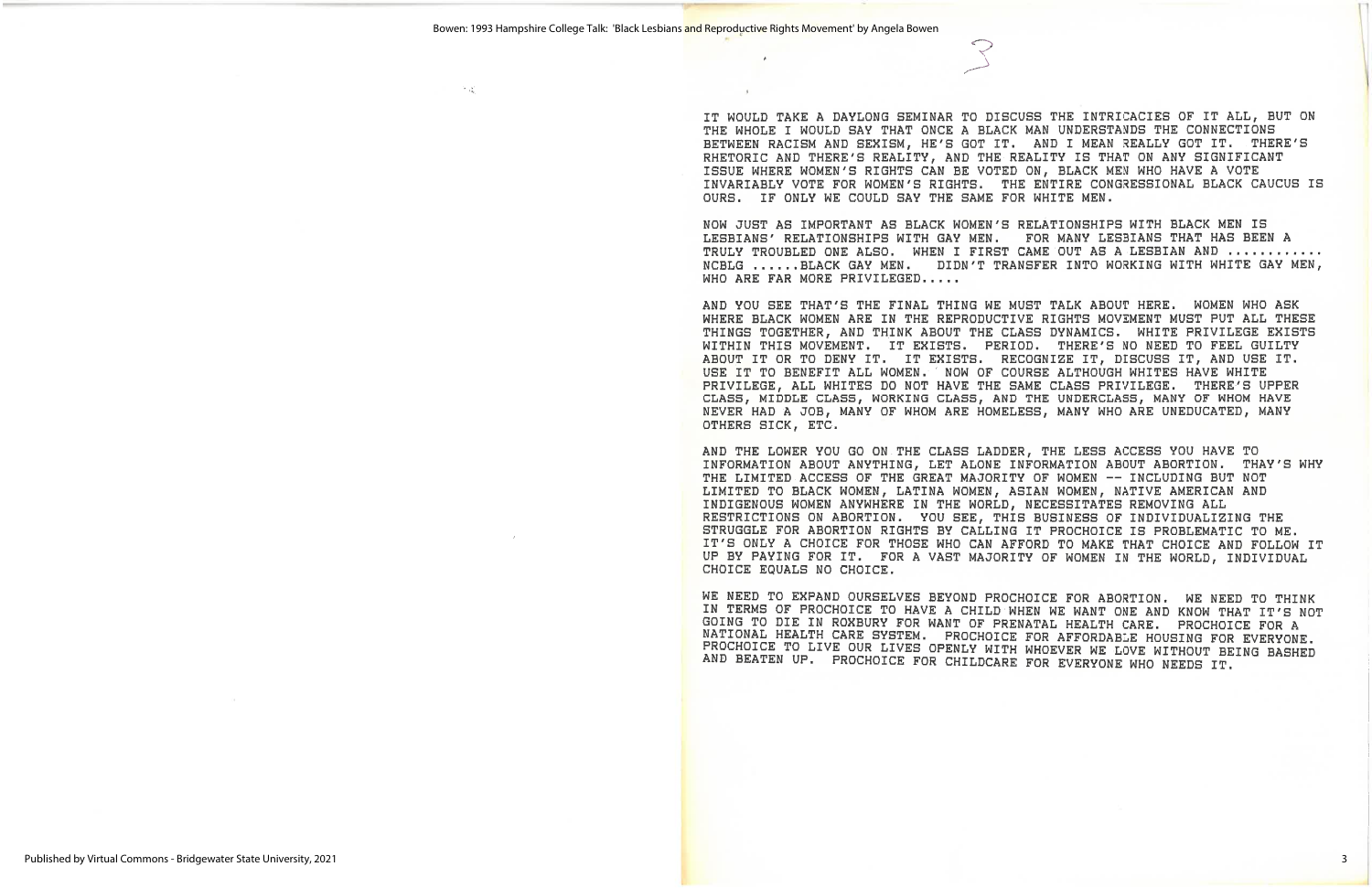우립

IT WOULD TAKE A DAYLONG SEMINAR TO DISCUSS THE INTRICACIES OF IT ALL, BUT ON THE WHOLE I WOULD SAY THAT ONCE A BLACK MAN UNDERSTANDS THE CONNECTIONS BETWEEN RACISM AND SEXISM, HE'S GOT IT. AND I MEAN REALLY GOT IT. THERE'S RHETORIC AND THERE'S REALITY, AND THE REALITY IS THAT ON ANY SIGNIFICANT ISSUE WHERE WOMEN'S RIGHTS CAN BE VOTED ON, BLACK MEN WHO HAVE A VOTE INVARIABLY VOTE FOR WOMEN'S RIGHTS. THE ENTIRE CONGRESSIONAL BLACK CAUCUS IS OURS. IF ONLY WE COULD SAY THE SAME FOR WHITE MEN.

NOW JUST AS IMPORTANT AS BLACK WOMEN'S RELATIONSHIPS WITH BLACK MEN IS LESBIANS' RELATIONSHIPS WITH GAY MEN. FOR MANY LESBIANS THAT HAS BEEN A TRULY TROUBLED ONE ALSO. WHEN I FIRST CAME OUT AS A LESBIAN AND ............ NCBLG ......BLACK GAY MEN. DIDN'T TRANSFER INTO WORKING WITH WHITE GAY MEN, WHO ARE FAR MORE PRIVILEGED.....

AND YOU SEE THAT'S THE FINAL THING WE MUST TALK ABOUT HERE. WOMEN WHO ASK WHERE BLACK WOMEN ARE IN THE REPRODUCTIVE RIGHTS MOVEMENT MUST PUT ALL THESE THINGS TOGETHER, AND THINK ABOUT THE CLASS DYNAMICS. WHITE PRIVILEGE EXISTS WITHIN THIS MOVEMENT. IT EXISTS. PERIOD. THERE'S NO NEED TO FEEL GUILTY ABOUT IT OR TO DENY IT. IT EXISTS. RECOGNIZE IT, DISCUSS IT, AND USE IT. USE IT TO BENEFIT ALL WOMEN. ' NOW OF COURSE ALTHOUGH WHITES HAVE WHITE PRIVILEGE, ALL WHITES DO NOT HAVE THE SAME CLASS PRIVILEGE. THERE'S UPPER CLASS, MIDDLE CLASS, WORKING CLASS, AND THE UNDERCLASS, MANY OF WHOM HAVE NEVER HAD A JOB, MANY OF WHOM ARE HOMELESS, MANY WHO ARE UNEDUCATED, MANY OTHERS SICK, ETC.

AND THE LOWER YOU GO ON THE CLASS LADDER, THE LESS ACCESS YOU HAVE TO INFORMATION ABOUT ANYTHING, LET ALONE INFORMATION ABOUT ABORTION. THAY'S WHY THE LIMITED ACCESS OF THE GREAT MAJORITY OF WOMEN -- INCLUDING BUT NOT LIMITED TO BLACK WOMEN, LATINA WOMEN, ASIAN WOMEN, NATIVE AMERICAN AND INDIGENOUS WOMEN ANYWHERE IN THE WORLD, NECESSITATES REMOVING ALL RESTRICTIONS ON ABORTION. YOU SEE, THIS BUSINESS OF INDIVIDUALIZING THE STRUGGLE FOR ABORTION RIGHTS BY CALLING IT PROCHOICE IS PROBLEMATIC TO ME. IT'S ONLY A CHOICE FOR THOSE WHO CAN AFFORD TO MAKE THAT CHOICE AND FOLLOW IT UP BY PAYING FOR IT. FOR A VAST MAJORITY OF WOMEN IN THE WORLD, INDIVIDUAL CHOICE EQUALS NO CHOICE.

WE NEED TO EXPAND OURSELVES BEYOND PROCHOICE FOR ABORTION. WE NEED TO THINK IN TERMS OF PROCHOICE TO HAVE A CHILD WHEN WE WANT ONE AND KNOW THAT IT'S NOT GOING TO DIE IN ROXBURY FOR WANT OF PRENATAL HEALTH CARE. PROCHOICE FOR A NATIONAL HEALTH CARE SYSTEM. PROCHOICE FOR AFFORDABLE HOUSING FOR EVERYONE. PROCHOICE TO LIVE OUR LIVES OPENLY WITH WHOEVER WE LOVE WITHOUT BEING BASHED AND BEATEN UP. PROCHOICE FOR CHILDCARE FOR EVERYONE WHO NEEDS IT.